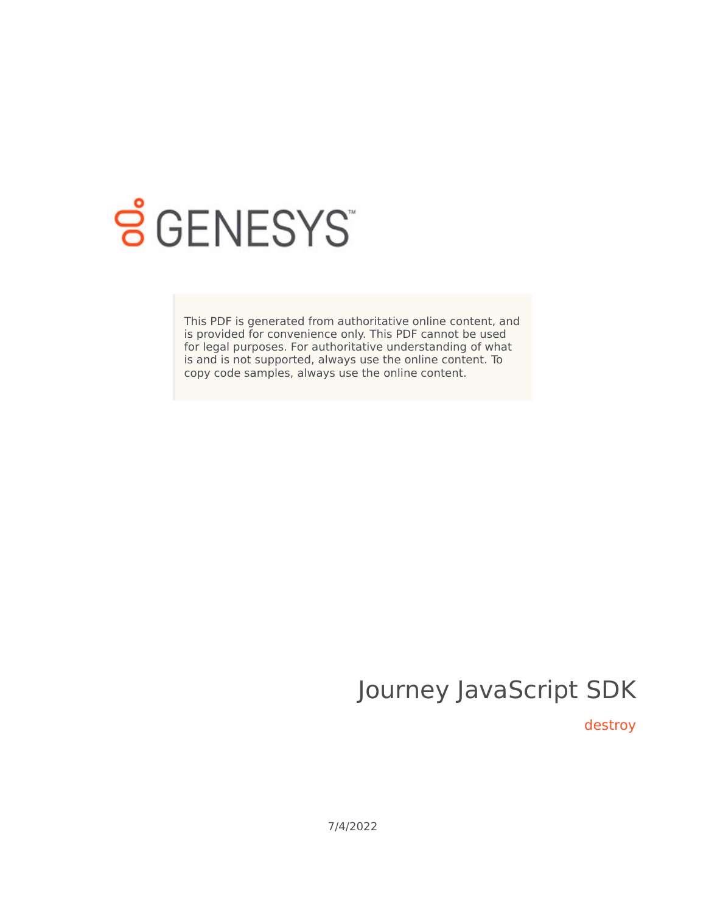

# **SGENESYS**

This PDF is generated from authoritative online content, and is provided for convenience only. This PDF cannot be used for legal purposes. For authoritative understanding of what is and is not supported, always use the online content. To copy code samples, always use the online content.

# Journey JavaScript SDK

destroy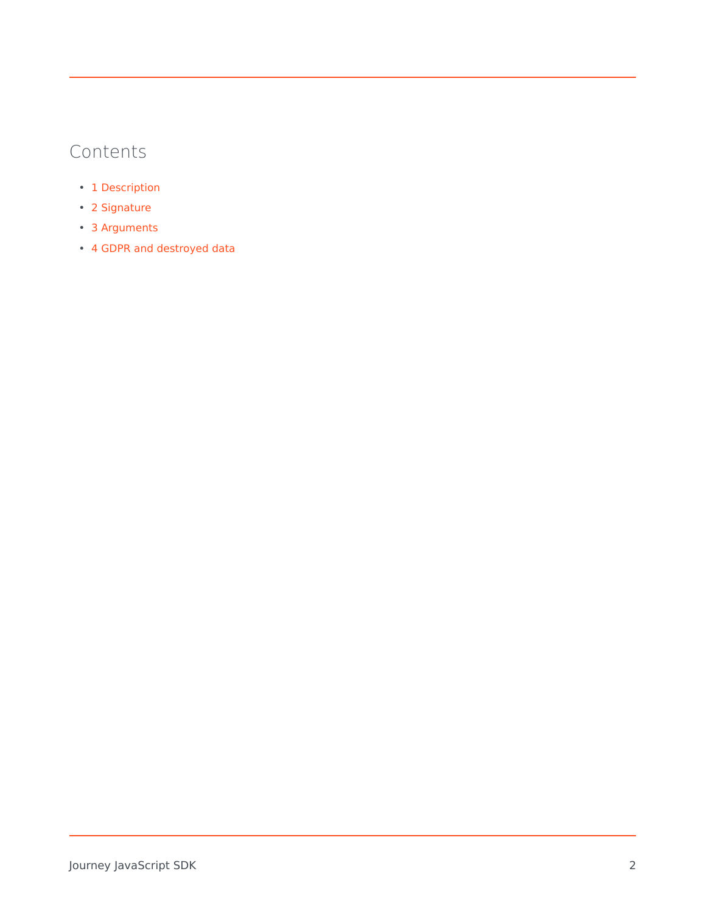# Contents

- 1 [Description](#page-2-0)
- 2 [Signature](#page-2-1)
- 3 [Arguments](#page-2-2)
- 4 [GDPR and destroyed data](#page-2-3)